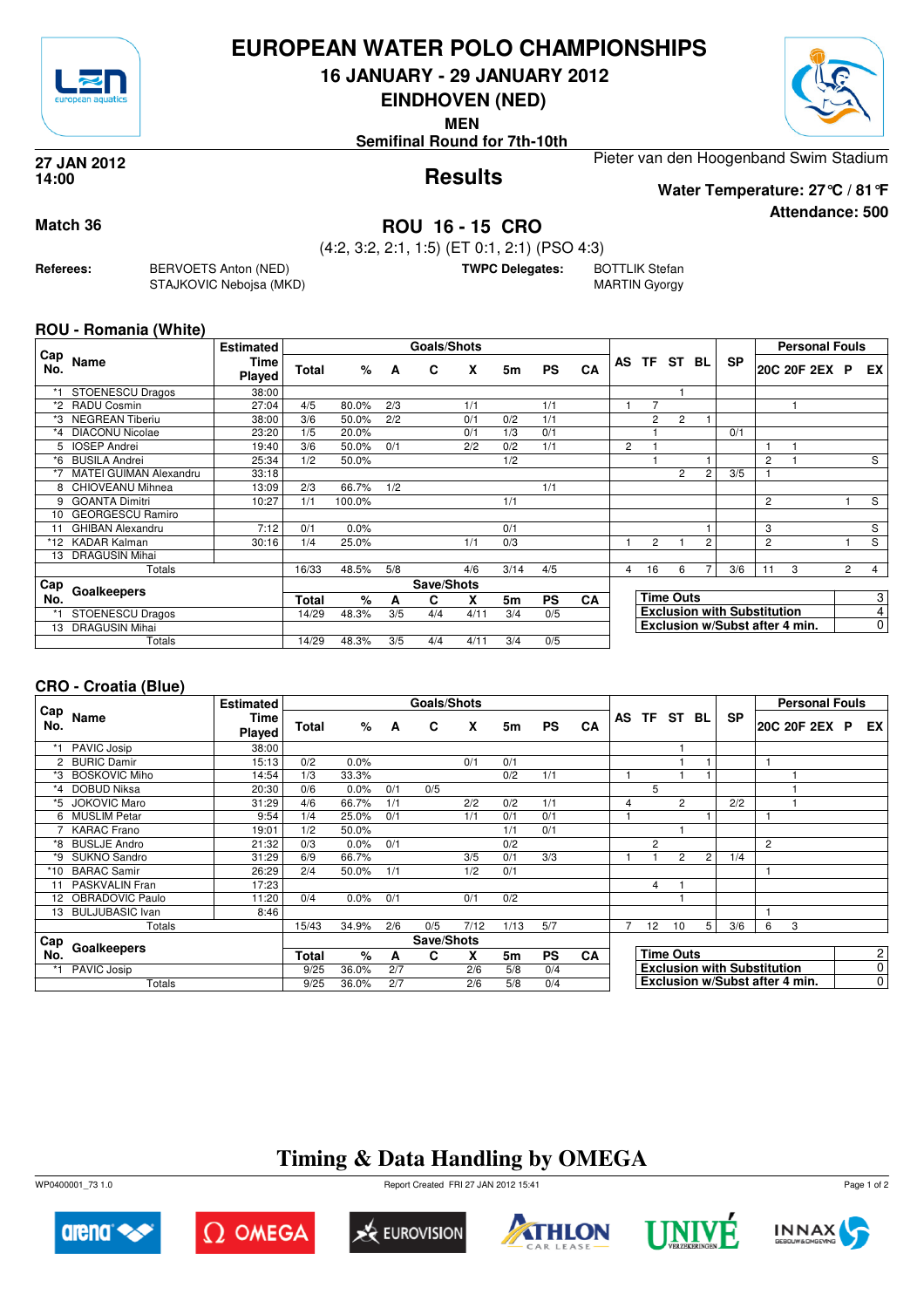

## **EUROPEAN WATER POLO CHAMPIONSHIPS**

**16 JANUARY - 29 JANUARY 2012**

**EINDHOVEN (NED)**

**MEN**

**Semifinal Round for 7th-10th**

Pieter van den Hoogenband Swim Stadium

**Results 27 JAN 2012 14:00**

**Attendance: 500 Water Temperature: 27°C / 81°F**

**Match 36 ROU 16 - 15 CRO**

**Referees:** BERVOETS Anton (NED) STAJKOVIC Nebojsa (MKD) (4:2, 3:2, 2:1, 1:5) (ET 0:1, 2:1) (PSO 4:3) **TWPC Delegates:** BOTTLIK Stefan

MARTIN Gyorgy

### **ROU - Romania (White)**

| Cap     |                               | <b>Estimated</b> |              |        |     | <b>Goals/Shots</b> |      |      |           |           |                                |                                    |                  |                |           |                | <b>Personal Fouls</b> |                |                |
|---------|-------------------------------|------------------|--------------|--------|-----|--------------------|------|------|-----------|-----------|--------------------------------|------------------------------------|------------------|----------------|-----------|----------------|-----------------------|----------------|----------------|
| No.     | Name                          | Time<br>Played   | <b>Total</b> | %      | A   | C                  | x    | 5m   | <b>PS</b> | CA        | AS                             | <b>TF</b>                          | ST               | BL             | <b>SP</b> |                | 20C 20F 2EX P         |                | EX             |
|         | <b>STOENESCU Dragos</b>       | 38:00            |              |        |     |                    |      |      |           |           |                                |                                    |                  |                |           |                |                       |                |                |
| *2      | RADU Cosmin                   | 27:04            | 4/5          | 80.0%  | 2/3 |                    | 1/1  |      | 1/1       |           |                                | 7                                  |                  |                |           |                |                       |                |                |
|         | <b>NEGREAN Tiberiu</b>        | 38:00            | 3/6          | 50.0%  | 2/2 |                    | 0/1  | 0/2  | 1/1       |           |                                | 2                                  | $\overline{2}$   |                |           |                |                       |                |                |
| $*_{4}$ | <b>DIACONU Nicolae</b>        | 23:20            | 1/5          | 20.0%  |     |                    | 0/1  | 1/3  | 0/1       |           |                                |                                    |                  |                | 0/1       |                |                       |                |                |
| 5       | <b>IOSEP Andrei</b>           | 19:40            | 3/6          | 50.0%  | 0/1 |                    | 2/2  | 0/2  | 1/1       |           | 2                              |                                    |                  |                |           |                |                       |                |                |
| *6      | <b>BUSILA Andrei</b>          | 25:34            | 1/2          | 50.0%  |     |                    |      | 1/2  |           |           |                                |                                    |                  |                |           | $\overline{c}$ |                       |                | S              |
|         | <b>MATEI GUIMAN Alexandru</b> | 33:18            |              |        |     |                    |      |      |           |           |                                |                                    | 2                | $\overline{2}$ | 3/5       |                |                       |                |                |
| 8       | CHIOVEANU Mihnea              | 13:09            | 2/3          | 66.7%  | 1/2 |                    |      |      | 1/1       |           |                                |                                    |                  |                |           |                |                       |                |                |
| 9       | <b>GOANTA Dimitri</b>         | 10:27            | 1/1          | 100.0% |     |                    |      | 1/1  |           |           |                                |                                    |                  |                |           | $\overline{2}$ |                       |                | S              |
| 10      | <b>GEORGESCU Ramiro</b>       |                  |              |        |     |                    |      |      |           |           |                                |                                    |                  |                |           |                |                       |                |                |
| 11      | <b>GHIBAN Alexandru</b>       | 7:12             | 0/1          | 0.0%   |     |                    |      | 0/1  |           |           |                                |                                    |                  |                |           | 3              |                       |                | S              |
| *12     | <b>KADAR Kalman</b>           | 30:16            | 1/4          | 25.0%  |     |                    | 1/1  | 0/3  |           |           |                                | $\overline{2}$                     |                  | 2              |           | $\overline{c}$ |                       |                | S              |
| 13      | <b>DRAGUSIN Mihai</b>         |                  |              |        |     |                    |      |      |           |           |                                |                                    |                  |                |           |                |                       |                |                |
|         | Totals                        |                  | 16/33        | 48.5%  | 5/8 |                    | 4/6  | 3/14 | 4/5       |           | 4                              | 16                                 | 6                | 7              | 3/6       | 11             | 3                     | $\overline{2}$ | $\overline{4}$ |
| Cap     |                               |                  | Save/Shots   |        |     |                    |      |      |           |           |                                |                                    |                  |                |           |                |                       |                |                |
| No.     | Goalkeepers                   |                  | Total        | %      | A   | C                  | X    | 5m   | <b>PS</b> | <b>CA</b> |                                |                                    | <b>Time Outs</b> |                |           |                |                       |                | 3              |
|         | <b>STOENESCU Dragos</b>       |                  | 14/29        | 48.3%  | 3/5 | 4/4                | 4/11 | 3/4  | 0/5       |           |                                | <b>Exclusion with Substitution</b> |                  |                |           |                |                       | 4              |                |
| 13      | <b>DRAGUSIN Mihai</b>         |                  |              |        |     |                    |      |      |           |           | Exclusion w/Subst after 4 min. |                                    |                  |                |           |                |                       | 0              |                |
|         | Totals                        |                  | 14/29        | 48.3%  | 3/5 | 4/4                | 4/11 | 3/4  | 0/5       |           |                                |                                    |                  |                |           |                |                       |                |                |

## **CRO - Croatia (Blue)**

|                 |                      | <b>Estimated</b> |       |       |     | <b>Goals/Shots</b> |      |      |           |           |   |                                    |                |                |           | <b>Personal Fouls</b>          |  |                                |
|-----------------|----------------------|------------------|-------|-------|-----|--------------------|------|------|-----------|-----------|---|------------------------------------|----------------|----------------|-----------|--------------------------------|--|--------------------------------|
| Cap<br>No.      | Name                 | Time<br>Played   | Total | %     | A   | C                  | X    | 5m   | <b>PS</b> | <b>CA</b> |   |                                    | AS TF ST BL    |                | <b>SP</b> | 20C 20F 2EX P                  |  | EX I                           |
|                 | PAVIC Josip          | 38:00            |       |       |     |                    |      |      |           |           |   |                                    |                |                |           |                                |  |                                |
| 2               | <b>BURIC Damir</b>   | 15:13            | 0/2   | 0.0%  |     |                    | 0/1  | 0/1  |           |           |   |                                    |                |                |           | 1                              |  |                                |
| *3              | <b>BOSKOVIC Miho</b> | 14:54            | 1/3   | 33.3% |     |                    |      | 0/2  | 1/1       |           |   |                                    |                |                |           |                                |  |                                |
| *4              | <b>DOBUD Niksa</b>   | 20:30            | 0/6   | 0.0%  | 0/1 | 0/5                |      |      |           |           |   | 5                                  |                |                |           |                                |  |                                |
| *5              | <b>JOKOVIC Maro</b>  | 31:29            | 4/6   | 66.7% | 1/1 |                    | 2/2  | 0/2  | 1/1       |           | 4 |                                    | $\overline{2}$ |                | 2/2       |                                |  |                                |
| 6               | <b>MUSLIM Petar</b>  | 9:54             | 1/4   | 25.0% | 0/1 |                    | 1/1  | 0/1  | 0/1       |           |   |                                    |                |                |           |                                |  |                                |
|                 | <b>KARAC</b> Frano   | 19:01            | 1/2   | 50.0% |     |                    |      | 1/1  | 0/1       |           |   |                                    |                |                |           |                                |  |                                |
| *8              | <b>BUSLJE Andro</b>  | 21:32            | 0/3   | 0.0%  | 0/1 |                    |      | 0/2  |           |           |   | $\overline{c}$                     |                |                |           | $\overline{c}$                 |  |                                |
| *9              | SUKNO Sandro         | 31:29            | 6/9   | 66.7% |     |                    | 3/5  | 0/1  | 3/3       |           |   |                                    | 2              | $\overline{2}$ | 1/4       |                                |  |                                |
| *10             | <b>BARAC Samir</b>   | 26:29            | 2/4   | 50.0% | 1/1 |                    | 1/2  | 0/1  |           |           |   |                                    |                |                |           |                                |  |                                |
|                 | PASKVALIN Fran       | 17:23            |       |       |     |                    |      |      |           |           |   | 4                                  |                |                |           |                                |  |                                |
| 12 <sup>2</sup> | OBRADOVIC Paulo      | 11:20            | 0/4   | 0.0%  | 0/1 |                    | 0/1  | 0/2  |           |           |   |                                    |                |                |           |                                |  |                                |
|                 | 13 BULJUBASIC Ivan   | 8:46             |       |       |     |                    |      |      |           |           |   |                                    |                |                |           | 1                              |  |                                |
|                 | Totals               |                  | 15/43 | 34.9% | 2/6 | 0/5                | 7/12 | 1/13 | 5/7       |           |   | 12                                 | 10             | 5              | 3/6       | 6<br>3                         |  |                                |
| Cap             |                      |                  |       |       |     | Save/Shots         |      |      |           |           |   |                                    |                |                |           |                                |  |                                |
| No.             | Goalkeepers          |                  | Total | %     | A   | C                  | x    | 5m   | <b>PS</b> | <b>CA</b> |   | <b>Time Outs</b>                   |                |                |           |                                |  | $\mathbf{2}$<br>$\overline{0}$ |
|                 | PAVIC Josip          |                  | 9/25  | 36.0% | 2/7 |                    | 2/6  | 5/8  | 0/4       |           |   | <b>Exclusion with Substitution</b> |                |                |           |                                |  |                                |
|                 | Totals               |                  | 9/25  | 36.0% | 2/7 |                    | 2/6  | 5/8  | 0/4       |           |   |                                    |                |                |           | Exclusion w/Subst after 4 min. |  | $\overline{0}$                 |

# **Timing & Data Handling by OMEGA**

WP0400001\_73 1.0 Report Created FRI 27 JAN 2012 15:41













Page 1 of 2